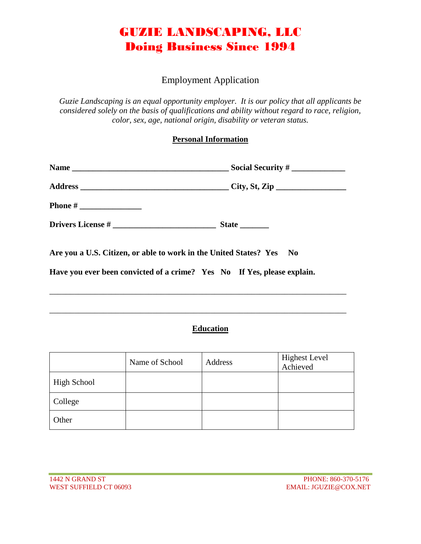### GUZIE LANDSCAPING, LLC Doing Business Since 1994

#### Employment Application

*Guzie Landscaping is an equal opportunity employer. It is our policy that all applicants be considered solely on the basis of qualifications and ability without regard to race, religion, color, sex, age, national origin, disability or veteran status.* 

#### **Personal Information**

| Drivers License # |                                                                      |  |
|-------------------|----------------------------------------------------------------------|--|
|                   | Are you a U.S. Citizen, or able to work in the United States? Yes No |  |

\_\_\_\_\_\_\_\_\_\_\_\_\_\_\_\_\_\_\_\_\_\_\_\_\_\_\_\_\_\_\_\_\_\_\_\_\_\_\_\_\_\_\_\_\_\_\_\_\_\_\_\_\_\_\_\_\_\_\_\_\_\_\_\_\_\_\_\_\_\_\_\_

\_\_\_\_\_\_\_\_\_\_\_\_\_\_\_\_\_\_\_\_\_\_\_\_\_\_\_\_\_\_\_\_\_\_\_\_\_\_\_\_\_\_\_\_\_\_\_\_\_\_\_\_\_\_\_\_\_\_\_\_\_\_\_\_\_\_\_\_\_\_\_\_

**Have you ever been convicted of a crime? Yes No If Yes, please explain.** 

### **Education**

|                    | Name of School | Address | <b>Highest Level</b><br>Achieved |
|--------------------|----------------|---------|----------------------------------|
| <b>High School</b> |                |         |                                  |
| College            |                |         |                                  |
| Other              |                |         |                                  |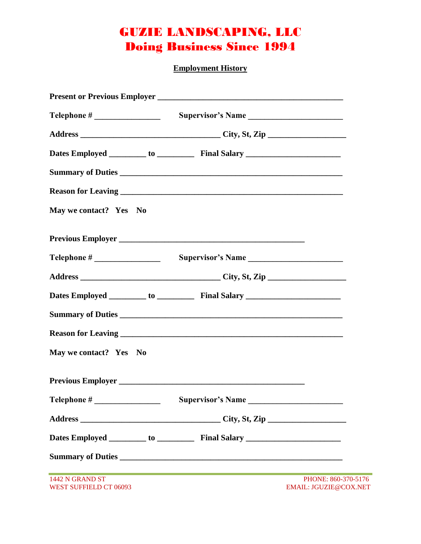# GUZIE LANDSCAPING, LLC Doing Business Since 1994

**Employment History**

|                                           | Summary of Duties                                                                |                                              |
|-------------------------------------------|----------------------------------------------------------------------------------|----------------------------------------------|
|                                           |                                                                                  |                                              |
| May we contact? Yes No                    |                                                                                  |                                              |
|                                           |                                                                                  |                                              |
|                                           |                                                                                  |                                              |
|                                           |                                                                                  |                                              |
|                                           |                                                                                  |                                              |
|                                           | Summary of Duties                                                                |                                              |
|                                           |                                                                                  |                                              |
| May we contact? Yes No                    |                                                                                  |                                              |
|                                           |                                                                                  |                                              |
| Telephone # Supervisor's Name             |                                                                                  |                                              |
|                                           |                                                                                  |                                              |
|                                           | Dates Employed _________ to _____________ Final Salary _________________________ |                                              |
|                                           |                                                                                  |                                              |
| 1442 N GRAND ST<br>WEST SUFFIELD CT 06093 |                                                                                  | PHONE: 860-370-5176<br>EMAIL: JGUZIE@COX.NET |